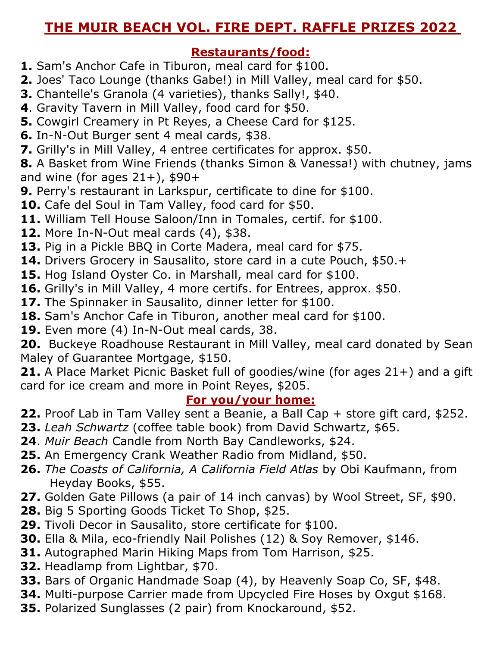## **THE MUIR BEACH VOL. FIRE DEPT. RAFFLE PRIZES 2022**

#### **Restaurants/food:**

- **1.** Sam's Anchor Cafe in Tiburon, meal card for \$100.
- **2.** Joes' Taco Lounge (thanks Gabe!) in Mill Valley, meal card for \$50.
- **3.** Chantelle's Granola (4 varieties), thanks Sally!, \$40.
- **4**. Gravity Tavern in Mill Valley, food card for \$50.
- **5.** Cowgirl Creamery in Pt Reyes, a Cheese Card for \$125.
- **6.** In-N-Out Burger sent 4 meal cards, \$38.
- **7.** Grilly's in Mill Valley, 4 entree certificates for approx. \$50.

**8.** A Basket from Wine Friends (thanks Simon & Vanessa!) with chutney, jams and wine (for ages  $21+$ ), \$90+

- **9.** Perry's restaurant in Larkspur, certificate to dine for \$100.
- **10.** Cafe del Soul in Tam Valley, food card for \$50.
- **11.** William Tell House Saloon/Inn in Tomales, certif. for \$100.
- **12.** More In-N-Out meal cards (4), \$38.
- **13.** Pig in a Pickle BBQ in Corte Madera, meal card for \$75.
- **14.** Drivers Grocery in Sausalito, store card in a cute Pouch, \$50.+
- **15.** Hog Island Oyster Co. in Marshall, meal card for \$100.
- **16.** Grilly's in Mill Valley, 4 more certifs. for Entrees, approx. \$50.
- **17.** The Spinnaker in Sausalito, dinner letter for \$100.
- **18.** Sam's Anchor Cafe in Tiburon, another meal card for \$100.
- **19.** Even more (4) In-N-Out meal cards, 38.

**20.** Buckeye Roadhouse Restaurant in Mill Valley, meal card donated by Sean Maley of Guarantee Mortgage, \$150.

**21.** A Place Market Picnic Basket full of goodies/wine (for ages 21+) and a gift card for ice cream and more in Point Reyes, \$205.

#### **For you/your home:**

- **22.** Proof Lab in Tam Valley sent a Beanie, a Ball Cap + store gift card, \$252.
- **23.** *Leah Schwartz* (coffee table book) from David Schwartz, \$65.
- **24**. *Muir Beach* Candle from North Bay Candleworks, \$24.
- **25.** An Emergency Crank Weather Radio from Midland, \$50.
- **26.** *The Coasts of California, A California Field Atlas* by Obi Kaufmann, from Heyday Books, \$55.
- **27.** Golden Gate Pillows (a pair of 14 inch canvas) by Wool Street, SF, \$90.
- **28.** Big 5 Sporting Goods Ticket To Shop, \$25.
- **29.** Tivoli Decor in Sausalito, store certificate for \$100.
- **30.** Ella & Mila, eco-friendly Nail Polishes (12) & Soy Remover, \$146.
- **31.** Autographed Marin Hiking Maps from Tom Harrison, \$25.
- **32.** Headlamp from Lightbar, \$70.
- **33.** Bars of Organic Handmade Soap (4), by Heavenly Soap Co, SF, \$48.
- **34.** Multi-purpose Carrier made from Upcycled Fire Hoses by Oxgut \$168.
- **35.** Polarized Sunglasses (2 pair) from Knockaround, \$52.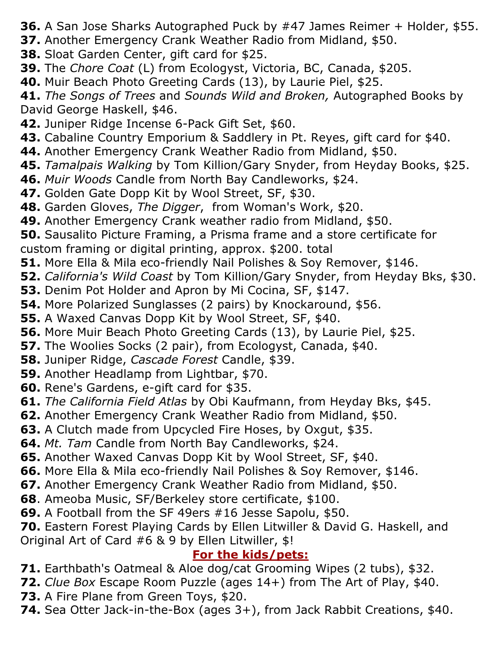- **36.** A San Jose Sharks Autographed Puck by #47 James Reimer + Holder, \$55.
- **37.** Another Emergency Crank Weather Radio from Midland, \$50.
- **38.** Sloat Garden Center, gift card for \$25.
- **39.** The *Chore Coat* (L) from Ecologyst, Victoria, BC, Canada, \$205.
- **40.** Muir Beach Photo Greeting Cards (13), by Laurie Piel, \$25.

**41.** *The Songs of Trees* and *Sounds Wild and Broken,* Autographed Books by David George Haskell, \$46.

- **42.** Juniper Ridge Incense 6-Pack Gift Set, \$60.
- **43.** Cabaline Country Emporium & Saddlery in Pt. Reyes, gift card for \$40.
- **44.** Another Emergency Crank Weather Radio from Midland, \$50.
- **45.** *Tamalpais Walking* by Tom Killion/Gary Snyder, from Heyday Books, \$25.
- **46.** *Muir Woods* Candle from North Bay Candleworks, \$24.
- **47.** Golden Gate Dopp Kit by Wool Street, SF, \$30.
- **48.** Garden Gloves, *The Digger*, from Woman's Work, \$20.
- **49.** Another Emergency Crank weather radio from Midland, \$50.
- **50.** Sausalito Picture Framing, a Prisma frame and a store certificate for custom framing or digital printing, approx. \$200. total
- **51.** More Ella & Mila eco-friendly Nail Polishes & Soy Remover, \$146.
- **52.** *California's Wild Coast* by Tom Killion/Gary Snyder, from Heyday Bks, \$30.
- **53.** Denim Pot Holder and Apron by Mi Cocina, SF, \$147.
- **54.** More Polarized Sunglasses (2 pairs) by Knockaround, \$56.
- **55.** A Waxed Canvas Dopp Kit by Wool Street, SF, \$40.
- **56.** More Muir Beach Photo Greeting Cards (13), by Laurie Piel, \$25.
- **57.** The Woolies Socks (2 pair), from Ecologyst, Canada, \$40.
- **58.** Juniper Ridge, *Cascade Forest* Candle, \$39.
- **59.** Another Headlamp from Lightbar, \$70.
- **60.** Rene's Gardens, e-gift card for \$35.
- **61.** *The California Field Atlas* by Obi Kaufmann, from Heyday Bks, \$45.
- **62.** Another Emergency Crank Weather Radio from Midland, \$50.
- **63.** A Clutch made from Upcycled Fire Hoses, by Oxgut, \$35.
- **64.** *Mt. Tam* Candle from North Bay Candleworks, \$24.
- **65.** Another Waxed Canvas Dopp Kit by Wool Street, SF, \$40.
- **66.** More Ella & Mila eco-friendly Nail Polishes & Soy Remover, \$146.
- **67.** Another Emergency Crank Weather Radio from Midland, \$50.
- **68**. Ameoba Music, SF/Berkeley store certificate, \$100.
- **69.** A Football from the SF 49ers #16 Jesse Sapolu, \$50.
- **70.** Eastern Forest Playing Cards by Ellen Litwiller & David G. Haskell, and Original Art of Card #6 & 9 by Ellen Litwiller, \$!

## **For the kids/pets:**

- **71.** Earthbath's Oatmeal & Aloe dog/cat Grooming Wipes (2 tubs), \$32.
- **72.** *Clue Box* Escape Room Puzzle (ages 14+) from The Art of Play, \$40.
- **73.** A Fire Plane from Green Toys, \$20.
- **74.** Sea Otter Jack-in-the-Box (ages 3+), from Jack Rabbit Creations, \$40.